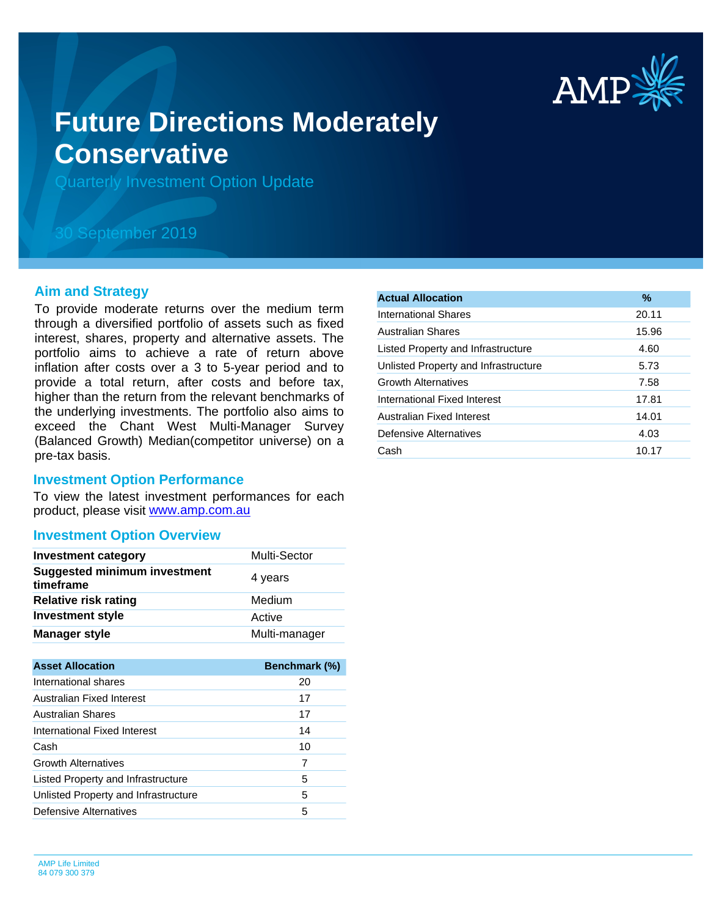

# **Future Directions Moderately Conservative**

Quarterly Investment Option Update

## 30 September 2019

#### **Aim and Strategy**

To provide moderate returns over the medium term through a diversified portfolio of assets such as fixed interest, shares, property and alternative assets. The portfolio aims to achieve a rate of return above inflation after costs over a 3 to 5-year period and to provide a total return, after costs and before tax, higher than the return from the relevant benchmarks of the underlying investments. The portfolio also aims to exceed the Chant West Multi-Manager Survey (Balanced Growth) Median(competitor universe) on a pre-tax basis.

#### **Investment Option Performance**

product, please visit [www.amp.com.au](https://www.amp.com.au) To view the latest investment performances for each

#### **Investment Option Overview**

| <b>Investment category</b>                       | Multi-Sector  |
|--------------------------------------------------|---------------|
| <b>Suggested minimum investment</b><br>timeframe | 4 years       |
| <b>Relative risk rating</b>                      | Medium        |
| <b>Investment style</b>                          | Active        |
| <b>Manager style</b>                             | Multi-manager |
|                                                  |               |
| <b>Asset Allocation</b>                          | Benchmark (%) |
| International shares                             | 20            |
| Australian Fixed Interest                        | 17            |
| <b>Australian Shares</b>                         | 17            |
| International Fixed Interest                     | 14            |

| International Fixed Interest         | 14 |  |
|--------------------------------------|----|--|
| Cash                                 | 10 |  |
| <b>Growth Alternatives</b>           | 7  |  |
| Listed Property and Infrastructure   | 5  |  |
| Unlisted Property and Infrastructure | 5  |  |
| Defensive Alternatives               |    |  |

| <b>Actual Allocation</b>             | $\%$  |
|--------------------------------------|-------|
| International Shares                 | 20.11 |
| <b>Australian Shares</b>             | 15.96 |
| Listed Property and Infrastructure   | 4.60  |
| Unlisted Property and Infrastructure | 5.73  |
| <b>Growth Alternatives</b>           | 7.58  |
| International Fixed Interest         | 17.81 |
| Australian Fixed Interest            | 14.01 |
| Defensive Alternatives               | 4.03  |
| Cash                                 | 10.17 |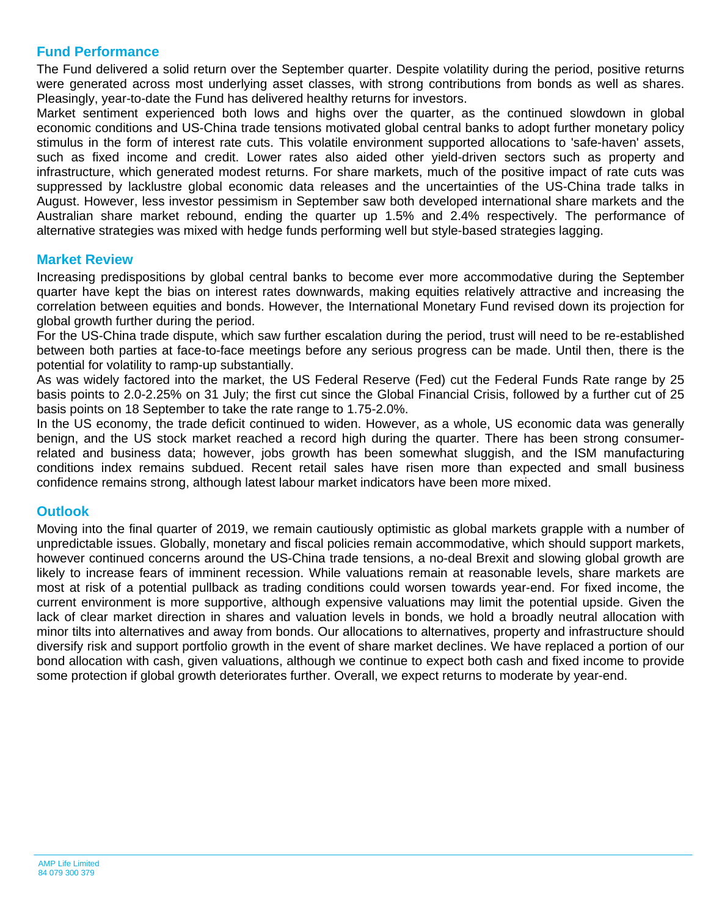### **Fund Performance**

The Fund delivered a solid return over the September quarter. Despite volatility during the period, positive returns were generated across most underlying asset classes, with strong contributions from bonds as well as shares. Pleasingly, year-to-date the Fund has delivered healthy returns for investors.

Market sentiment experienced both lows and highs over the quarter, as the continued slowdown in global economic conditions and US-China trade tensions motivated global central banks to adopt further monetary policy stimulus in the form of interest rate cuts. This volatile environment supported allocations to 'safe-haven' assets, such as fixed income and credit. Lower rates also aided other yield-driven sectors such as property and infrastructure, which generated modest returns. For share markets, much of the positive impact of rate cuts was suppressed by lacklustre global economic data releases and the uncertainties of the US-China trade talks in August. However, less investor pessimism in September saw both developed international share markets and the Australian share market rebound, ending the quarter up 1.5% and 2.4% respectively. The performance of alternative strategies was mixed with hedge funds performing well but style-based strategies lagging.

#### **Market Review**

Increasing predispositions by global central banks to become ever more accommodative during the September quarter have kept the bias on interest rates downwards, making equities relatively attractive and increasing the correlation between equities and bonds. However, the International Monetary Fund revised down its projection for global growth further during the period.

For the US-China trade dispute, which saw further escalation during the period, trust will need to be re-established between both parties at face-to-face meetings before any serious progress can be made. Until then, there is the potential for volatility to ramp-up substantially.

As was widely factored into the market, the US Federal Reserve (Fed) cut the Federal Funds Rate range by 25 basis points to 2.0-2.25% on 31 July; the first cut since the Global Financial Crisis, followed by a further cut of 25 basis points on 18 September to take the rate range to 1.75-2.0%.

In the US economy, the trade deficit continued to widen. However, as a whole, US economic data was generally benign, and the US stock market reached a record high during the quarter. There has been strong consumerrelated and business data; however, jobs growth has been somewhat sluggish, and the ISM manufacturing conditions index remains subdued. Recent retail sales have risen more than expected and small business confidence remains strong, although latest labour market indicators have been more mixed.

#### **Outlook**

Moving into the final quarter of 2019, we remain cautiously optimistic as global markets grapple with a number of unpredictable issues. Globally, monetary and fiscal policies remain accommodative, which should support markets, however continued concerns around the US-China trade tensions, a no-deal Brexit and slowing global growth are likely to increase fears of imminent recession. While valuations remain at reasonable levels, share markets are most at risk of a potential pullback as trading conditions could worsen towards year-end. For fixed income, the current environment is more supportive, although expensive valuations may limit the potential upside. Given the lack of clear market direction in shares and valuation levels in bonds, we hold a broadly neutral allocation with minor tilts into alternatives and away from bonds. Our allocations to alternatives, property and infrastructure should diversify risk and support portfolio growth in the event of share market declines. We have replaced a portion of our bond allocation with cash, given valuations, although we continue to expect both cash and fixed income to provide some protection if global growth deteriorates further. Overall, we expect returns to moderate by year-end.